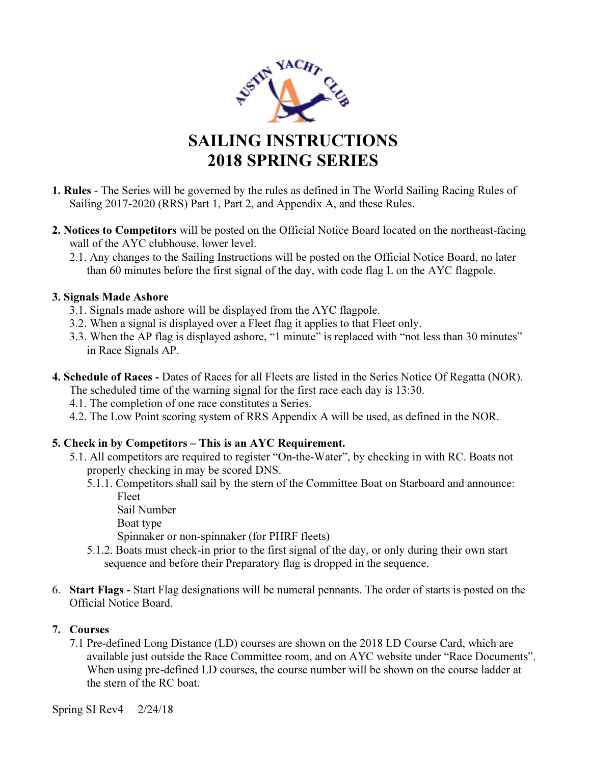

- 1. Rules The Series will be governed by the rules as defined in The World Sailing Racing Rules of Sailing 2017-2020 (RRS) Part 1, Part 2, and Appendix A, and these Rules.
- 2. Notices to Competitors will be posted on the Official Notice Board located on the northeast-facing wall of the AYC clubhouse, lower level.
	- 2.1. Any changes to the Sailing Instructions will be posted on the Official Notice Board, no later than 60 minutes before the first signal of the day, with code flag L on the AYC flagpole.

#### 3. Signals Made Ashore

- 3.1. Signals made ashore will be displayed from the AYC flagpole.
- 3.2. When a signal is displayed over a Fleet flag it applies to that Fleet only.
- 3.3. When the AP flag is displayed ashore, "1 minute" is replaced with "not less than 30 minutes" in Race Signals AP.
- 4. Schedule of Races Dates of Races for all Fleets are listed in the Series Notice Of Regatta (NOR). The scheduled time of the warning signal for the first race each day is 13:30.
	- 4.1. The completion of one race constitutes a Series.
	- 4.2. The Low Point scoring system of RRS Appendix A will be used, as defined in the NOR.

# 5. Check in by Competitors – This is an AYC Requirement.

- 5.1. All competitors are required to register "On-the-Water", by checking in with RC. Boats not properly checking in may be scored DNS.
	- 5.1.1. Competitors shall sail by the stern of the Committee Boat on Starboard and announce: Fleet
		- Sail Number Boat type

Spinnaker or non-spinnaker (for PHRF fleets)

- 5.1.2. Boats must check-in prior to the first signal of the day, or only during their own start sequence and before their Preparatory flag is dropped in the sequence.
- 6. Start Flags Start Flag designations will be numeral pennants. The order of starts is posted on the Official Notice Board.

# 7. Courses

7.1 Pre-defined Long Distance (LD) courses are shown on the 2018 LD Course Card, which are available just outside the Race Committee room, and on AYC website under "Race Documents". When using pre-defined LD courses, the course number will be shown on the course ladder at the stern of the RC boat.

Spring SI Rev4 2/24/18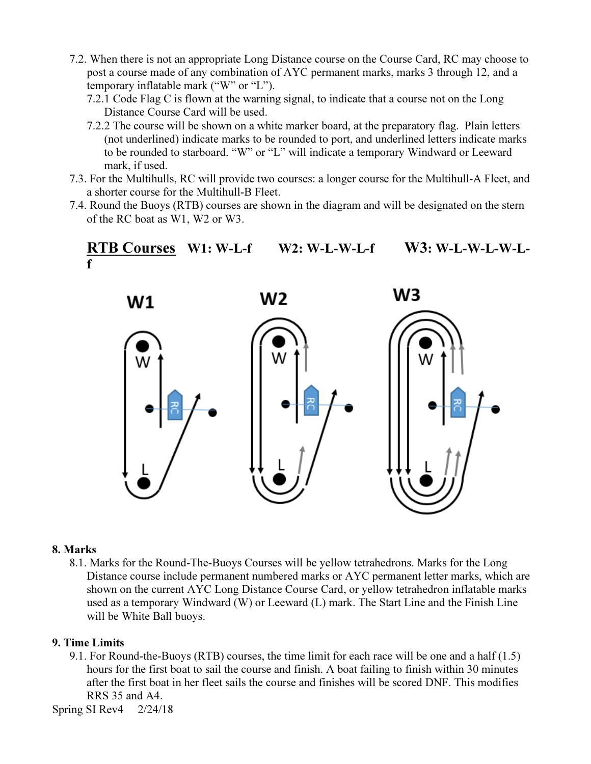- 7.2. When there is not an appropriate Long Distance course on the Course Card, RC may choose to post a course made of any combination of AYC permanent marks, marks 3 through 12, and a temporary inflatable mark ("W" or "L").
	- 7.2.1 Code Flag C is flown at the warning signal, to indicate that a course not on the Long Distance Course Card will be used.
	- 7.2.2 The course will be shown on a white marker board, at the preparatory flag. Plain letters (not underlined) indicate marks to be rounded to port, and underlined letters indicate marks to be rounded to starboard. "W" or "L" will indicate a temporary Windward or Leeward mark, if used.
- 7.3. For the Multihulls, RC will provide two courses: a longer course for the Multihull-A Fleet, and a shorter course for the Multihull-B Fleet.
- 7.4. Round the Buoys (RTB) courses are shown in the diagram and will be designated on the stern of the RC boat as W1, W2 or W3.

# RTB Courses W1: W-L-f W2: W-L-W-L-f W3: W-L-W-L-W-Lf



#### 8. Marks

8.1. Marks for the Round-The-Buoys Courses will be yellow tetrahedrons. Marks for the Long Distance course include permanent numbered marks or AYC permanent letter marks, which are shown on the current AYC Long Distance Course Card, or yellow tetrahedron inflatable marks used as a temporary Windward (W) or Leeward (L) mark. The Start Line and the Finish Line will be White Ball buoys.

#### 9. Time Limits

9.1. For Round-the-Buoys (RTB) courses, the time limit for each race will be one and a half (1.5) hours for the first boat to sail the course and finish. A boat failing to finish within 30 minutes after the first boat in her fleet sails the course and finishes will be scored DNF. This modifies RRS 35 and A4.

Spring SI Rev4 2/24/18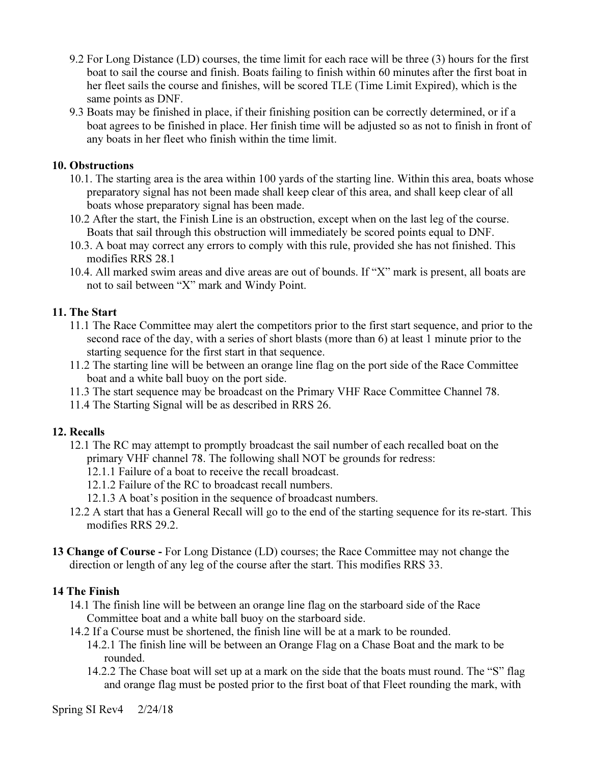- 9.2 For Long Distance (LD) courses, the time limit for each race will be three (3) hours for the first boat to sail the course and finish. Boats failing to finish within 60 minutes after the first boat in her fleet sails the course and finishes, will be scored TLE (Time Limit Expired), which is the same points as DNF.
- 9.3 Boats may be finished in place, if their finishing position can be correctly determined, or if a boat agrees to be finished in place. Her finish time will be adjusted so as not to finish in front of any boats in her fleet who finish within the time limit.

#### 10. Obstructions

- 10.1. The starting area is the area within 100 yards of the starting line. Within this area, boats whose preparatory signal has not been made shall keep clear of this area, and shall keep clear of all boats whose preparatory signal has been made.
- 10.2 After the start, the Finish Line is an obstruction, except when on the last leg of the course. Boats that sail through this obstruction will immediately be scored points equal to DNF.
- 10.3. A boat may correct any errors to comply with this rule, provided she has not finished. This modifies RRS 28.1
- 10.4. All marked swim areas and dive areas are out of bounds. If "X" mark is present, all boats are not to sail between "X" mark and Windy Point.

#### 11. The Start

- 11.1 The Race Committee may alert the competitors prior to the first start sequence, and prior to the second race of the day, with a series of short blasts (more than 6) at least 1 minute prior to the starting sequence for the first start in that sequence.
- 11.2 The starting line will be between an orange line flag on the port side of the Race Committee boat and a white ball buoy on the port side.
- 11.3 The start sequence may be broadcast on the Primary VHF Race Committee Channel 78.
- 11.4 The Starting Signal will be as described in RRS 26.

#### 12. Recalls

- 12.1 The RC may attempt to promptly broadcast the sail number of each recalled boat on the primary VHF channel 78. The following shall NOT be grounds for redress:
	- 12.1.1 Failure of a boat to receive the recall broadcast.
	- 12.1.2 Failure of the RC to broadcast recall numbers.
	- 12.1.3 A boat's position in the sequence of broadcast numbers.
- 12.2 A start that has a General Recall will go to the end of the starting sequence for its re-start. This modifies RRS 29.2.
- 13 Change of Course For Long Distance (LD) courses; the Race Committee may not change the direction or length of any leg of the course after the start. This modifies RRS 33.

#### 14 The Finish

- 14.1 The finish line will be between an orange line flag on the starboard side of the Race Committee boat and a white ball buoy on the starboard side.
- 14.2 If a Course must be shortened, the finish line will be at a mark to be rounded. 14.2.1 The finish line will be between an Orange Flag on a Chase Boat and the mark to be rounded.
	- 14.2.2 The Chase boat will set up at a mark on the side that the boats must round. The "S" flag and orange flag must be posted prior to the first boat of that Fleet rounding the mark, with

Spring SI Rev4 2/24/18